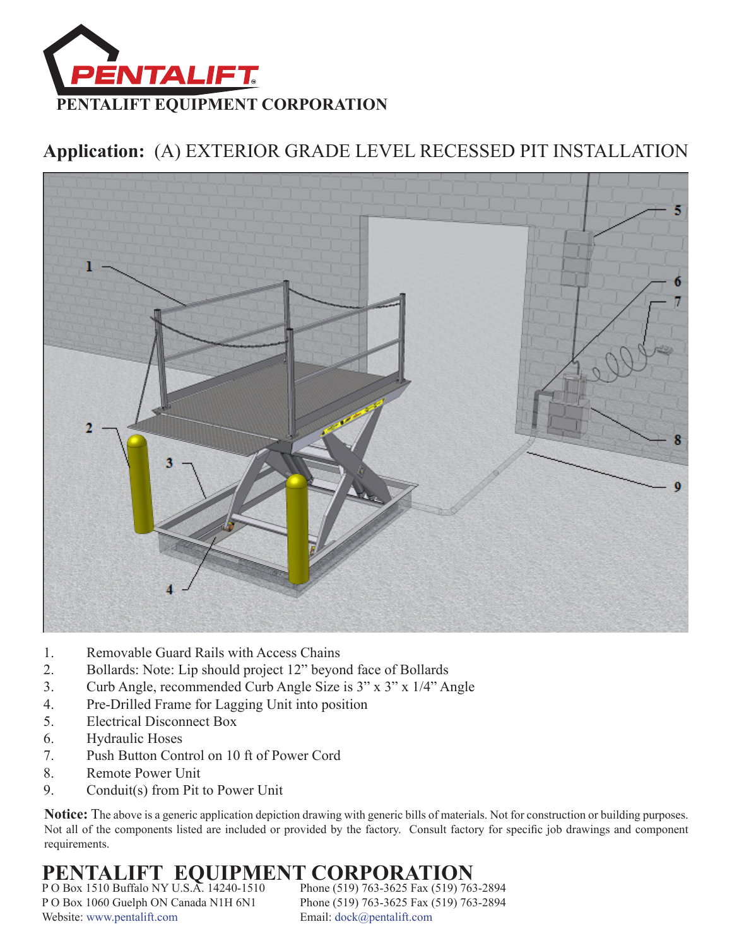

### **Application:** (A) EXTERIOR GRADE LEVEL RECESSED PIT INSTALLATION



- 1. Removable Guard Rails with Access Chains
- 2. Bollards: Note: Lip should project 12" beyond face of Bollards
- 3. Curb Angle, recommended Curb Angle Size is 3" x 3" x 1/4" Angle
- 4. Pre-Drilled Frame for Lagging Unit into position
- 5. Electrical Disconnect Box
- 6. Hydraulic Hoses
- 7. Push Button Control on 10 ft of Power Cord
- 8. Remote Power Unit
- 9. Conduit(s) from Pit to Power Unit

**Notice:** The above is a generic application depiction drawing with generic bills of materials. Not for construction or building purposes. Not all of the components listed are included or provided by the factory. Consult factory for specific job drawings and component requirements.

## **PENTALIFT EQUIPMENT CORPORATION**

P O Box 1510 Buffalo NY U.S.A. 14240-1510 Phone (519) 763-3625 Fax (519) 763-2894 P O Box 1060 Guelph ON Canada N1H 6N1 Phone (519) 763-3625 Fax (519) 763-2894 Website:<www.pentalift.com>Email: [dock@pentalift.com](mailto:dock@pentalift.com)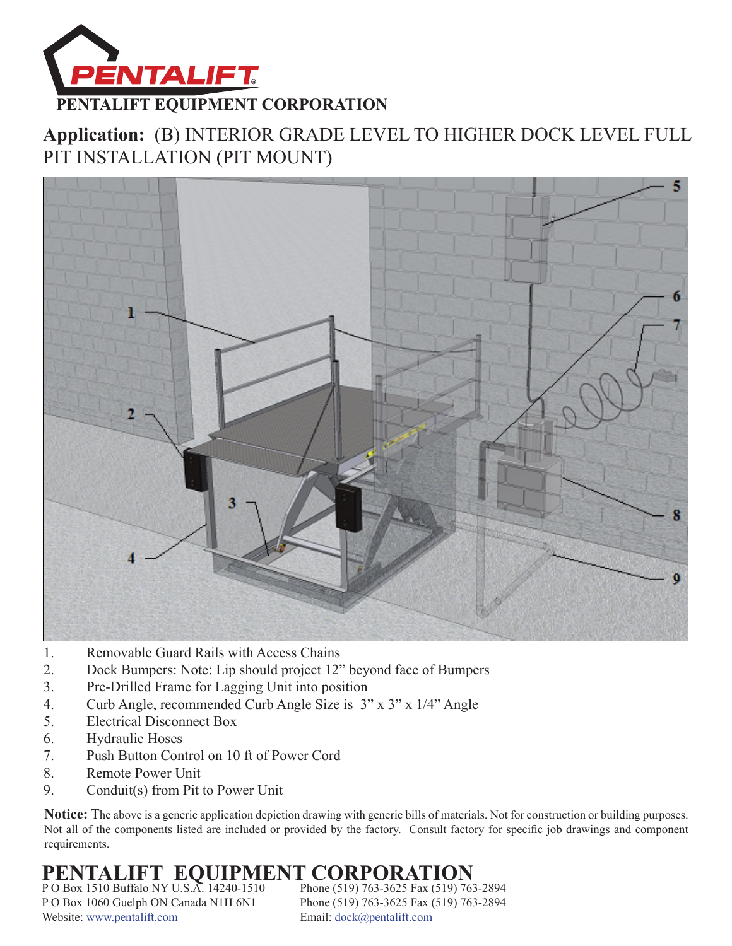

### **Application:** (B) INTERIOR GRADE LEVEL TO HIGHER DOCK LEVEL FULL PIT INSTALLATION (PIT MOUNT)



- 1. Removable Guard Rails with Access Chains
- 2. Dock Bumpers: Note: Lip should project 12" beyond face of Bumpers
- 3. Pre-Drilled Frame for Lagging Unit into position
- 4. Curb Angle, recommended Curb Angle Size is 3" x 3" x 1/4" Angle
- 5. Electrical Disconnect Box
- 6. Hydraulic Hoses
- 7. Push Button Control on 10 ft of Power Cord
- 8. Remote Power Unit
- 9. Conduit(s) from Pit to Power Unit

**Notice:** The above is a generic application depiction drawing with generic bills of materials. Not for construction or building purposes. Not all of the components listed are included or provided by the factory. Consult factory for specific job drawings and component requirements.

## **PENTALIFT EQUIPMENT CORPORATION**<br>PO Box 1510 Buffalo NY U.S.A. 14240-1510 Phone (519) 763-3625 Fax (519) 763-2894

P O Box 1510 Buffalo NY U.S.A. 14240-1510 P O Box 1060 Guelph ON Canada N1H 6N1 Phone (519) 763-3625 Fax (519) 763-2894 Website:<www.pentalift.com>Email: [dock@pentalift.com](mailto:dock@pentalift.com)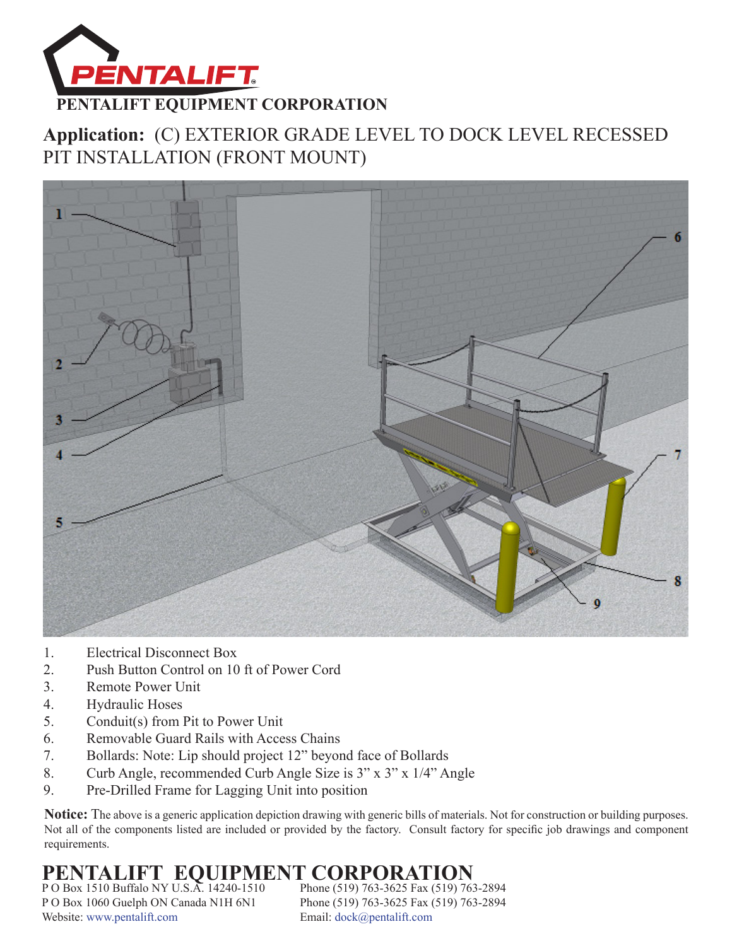

### **Application:** (C) EXTERIOR GRADE LEVEL TO DOCK LEVEL RECESSED PIT INSTALLATION (FRONT MOUNT)



- 1. Electrical Disconnect Box
- 2. Push Button Control on 10 ft of Power Cord
- 3. Remote Power Unit
- 4. Hydraulic Hoses
- 5. Conduit(s) from Pit to Power Unit
- 6. Removable Guard Rails with Access Chains
- 7. Bollards: Note: Lip should project 12" beyond face of Bollards
- 8. Curb Angle, recommended Curb Angle Size is 3" x 3" x 1/4" Angle
- 9. Pre-Drilled Frame for Lagging Unit into position

**Notice:** The above is a generic application depiction drawing with generic bills of materials. Not for construction or building purposes. Not all of the components listed are included or provided by the factory. Consult factory for specific job drawings and component requirements.

## **PENTALIFT EQUIPMENT CORPORATION**<br>PO Box 1510 Buffalo NY U.S.A. 14240-1510 Phone (519) 763-3625 Fax (519) 763-2894

P O Box 1510 Buffalo NY U.S.A. 14240-1510 P O Box 1060 Guelph ON Canada N1H 6N1 Phone (519) 763-3625 Fax (519) 763-2894 Website:<www.pentalift.com>Email: [dock@pentalift.com](mailto:dock@pentalift.com)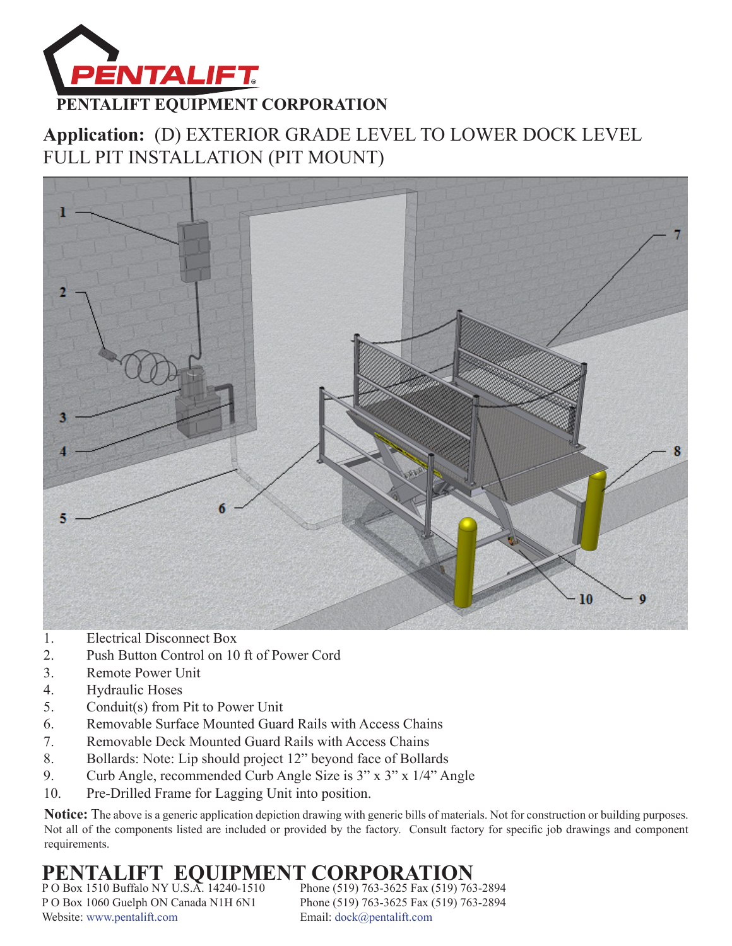

### **Application:** (D) EXTERIOR GRADE LEVEL TO LOWER DOCK LEVEL FULL PIT INSTALLATION (PIT MOUNT)



- 1. Electrical Disconnect Box
- 2. Push Button Control on 10 ft of Power Cord
- 3. Remote Power Unit
- 4. Hydraulic Hoses
- 5. Conduit(s) from Pit to Power Unit
- 6. Removable Surface Mounted Guard Rails with Access Chains
- 7. Removable Deck Mounted Guard Rails with Access Chains
- 8. Bollards: Note: Lip should project 12" beyond face of Bollards
- 9. Curb Angle, recommended Curb Angle Size is 3" x 3" x 1/4" Angle
- 10. Pre-Drilled Frame for Lagging Unit into position.

**Notice:** The above is a generic application depiction drawing with generic bills of materials. Not for construction or building purposes. Not all of the components listed are included or provided by the factory. Consult factory for specific job drawings and component requirements.

# **PENTALIFT EQUIPMENT CORPORATION**<br>PO Box 1510 Buffalo NY U.S.A. 14240-1510 Phone (519) 763-3625 Fax (519) 763-2894

P O Box 1510 Buffalo NY U.S.A. 14240-1510 P O Box 1060 Guelph ON Canada N1H 6N1 Phone (519) 763-3625 Fax (519) 763-2894 Website:<www.pentalift.com>Email: [dock@pentalift.com](mailto:dock@pentalift.com)